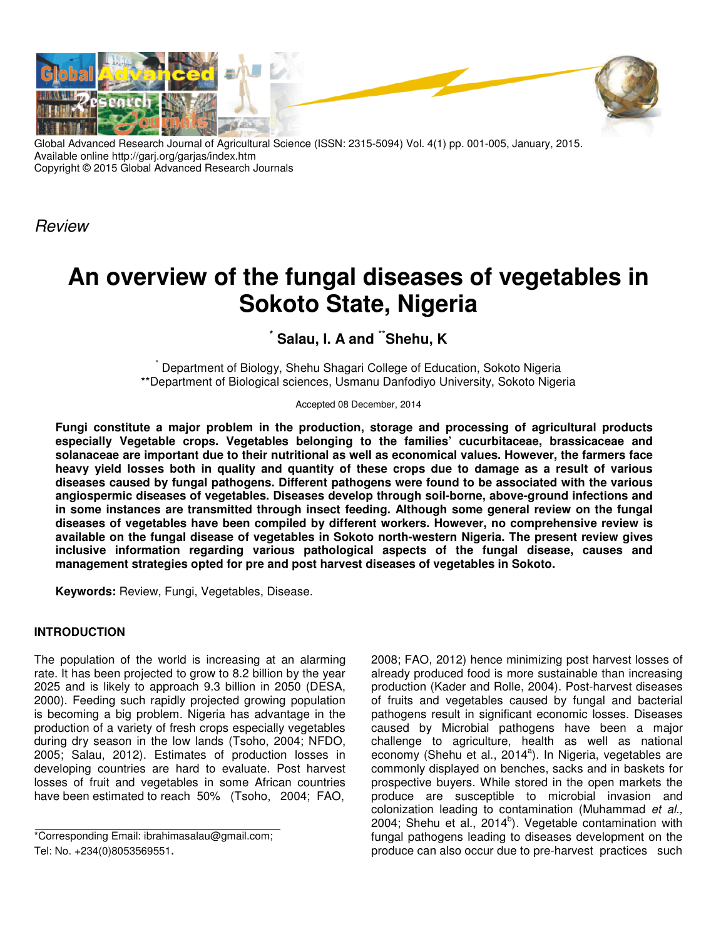

Global Advanced Research Journal of Agricultural Science (ISSN: 2315-5094) Vol. 4(1) pp. 001-005, January, 2015. Available online http://garj.org/garjas/index.htm Copyright © 2015 Global Advanced Research Journals

*Review*

# **An overview of the fungal diseases of vegetables in Sokoto State, Nigeria**

 $\check{ }$  Salau, I. A and  $\check{ }$  Shehu, K

\* Department of Biology, Shehu Shagari College of Education, Sokoto Nigeria \*\*Department of Biological sciences, Usmanu Danfodiyo University, Sokoto Nigeria

Accepted 08 December, 2014

**Fungi constitute a major problem in the production, storage and processing of agricultural products especially Vegetable crops. Vegetables belonging to the families' cucurbitaceae, brassicaceae and solanaceae are important due to their nutritional as well as economical values. However, the farmers face heavy yield losses both in quality and quantity of these crops due to damage as a result of various diseases caused by fungal pathogens. Different pathogens were found to be associated with the various angiospermic diseases of vegetables. Diseases develop through soil-borne, above-ground infections and in some instances are transmitted through insect feeding. Although some general review on the fungal diseases of vegetables have been compiled by different workers. However, no comprehensive review is available on the fungal disease of vegetables in Sokoto north-western Nigeria. The present review gives inclusive information regarding various pathological aspects of the fungal disease, causes and management strategies opted for pre and post harvest diseases of vegetables in Sokoto.** 

**Keywords:** Review, Fungi, Vegetables, Disease.

# **INTRODUCTION**

The population of the world is increasing at an alarming rate. It has been projected to grow to 8.2 billion by the year 2025 and is likely to approach 9.3 billion in 2050 (DESA, 2000). Feeding such rapidly projected growing population is becoming a big problem. Nigeria has advantage in the production of a variety of fresh crops especially vegetables during dry season in the low lands (Tsoho, 2004; NFDO, 2005; Salau, 2012). Estimates of production losses in developing countries are hard to evaluate. Post harvest losses of fruit and vegetables in some African countries have been estimated to reach 50% (Tsoho, 2004; FAO,

\*Corresponding Email: ibrahimasalau@gmail.com; Tel: No. +234(0)8053569551.

2008; FAO, 2012) hence minimizing post harvest losses of already produced food is more sustainable than increasing production (Kader and Rolle, 2004). Post-harvest diseases of fruits and vegetables caused by fungal and bacterial pathogens result in significant economic losses. Diseases caused by Microbial pathogens have been a major challenge to agriculture, health as well as national economy (Shehu et al., 2014<sup>a</sup>). In Nigeria, vegetables are commonly displayed on benches, sacks and in baskets for prospective buyers. While stored in the open markets the produce are susceptible to microbial invasion and colonization leading to contamination (Muhammad *et al.,* 2004; Shehu et al., 2014 $b$ ). Vegetable contamination with fungal pathogens leading to diseases development on the produce can also occur due to pre-harvest practices such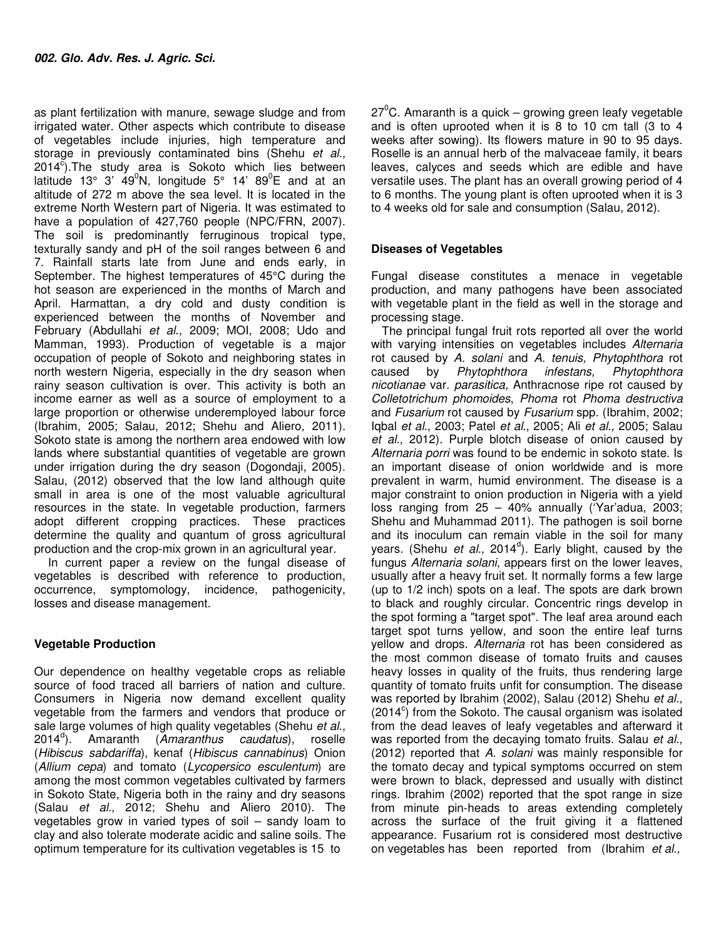as plant fertilization with manure, sewage sludge and from irrigated water. Other aspects which contribute to disease of vegetables include injuries, high temperature and storage in previously contaminated bins (Shehu *et al.,*  $2014^{\circ}$ . The study area is Sokoto which lies between latitude 13° 3'  $49^0$ N, longitude 5° 14' 89<sup>0</sup>E and at an altitude of 272 m above the sea level. It is located in the extreme North Western part of Nigeria. It was estimated to have a population of 427,760 people (NPC/FRN, 2007). The soil is predominantly ferruginous tropical type, texturally sandy and pH of the soil ranges between 6 and 7. Rainfall starts late from June and ends early, in September. The highest temperatures of 45°C during the hot season are experienced in the months of March and April. Harmattan, a dry cold and dusty condition is experienced between the months of November and February (Abdullahi *et al*., 2009; MOI, 2008; Udo and Mamman, 1993). Production of vegetable is a major occupation of people of Sokoto and neighboring states in north western Nigeria, especially in the dry season when rainy season cultivation is over. This activity is both an income earner as well as a source of employment to a large proportion or otherwise underemployed labour force (Ibrahim, 2005; Salau, 2012; Shehu and Aliero*,* 2011). Sokoto state is among the northern area endowed with low lands where substantial quantities of vegetable are grown under irrigation during the dry season (Dogondaji, 2005). Salau, (2012) observed that the low land although quite small in area is one of the most valuable agricultural resources in the state. In vegetable production, farmers adopt different cropping practices. These practices determine the quality and quantum of gross agricultural production and the crop-mix grown in an agricultural year.

 In current paper a review on the fungal disease of vegetables is described with reference to production, occurrence, symptomology, incidence, pathogenicity, losses and disease management.

# **Vegetable Production**

Our dependence on healthy vegetable crops as reliable source of food traced all barriers of nation and culture. Consumers in Nigeria now demand excellent quality vegetable from the farmers and vendors that produce or sale large volumes of high quality vegetables (Shehu *et al.,* 2014<sup>d</sup> ). Amaranth (*Amaranthus caudatus*), roselle (*Hibiscus sabdariffa*), kenaf (*Hibiscus cannabinus*) Onion (*Allium cepa*) and tomato (*Lycopersico esculentum*) are among the most common vegetables cultivated by farmers in Sokoto State, Nigeria both in the rainy and dry seasons (Salau *et al.,* 2012; Shehu and Aliero 2010). The vegetables grow in varied types of soil – sandy loam to clay and also tolerate moderate acidic and saline soils. The optimum temperature for its cultivation vegetables is 15 to

 $27^{\circ}$ C. Amaranth is a quick – growing green leafy vegetable and is often uprooted when it is 8 to 10 cm tall (3 to 4 weeks after sowing). Its flowers mature in 90 to 95 days. Roselle is an annual herb of the malvaceae family, it bears leaves, calyces and seeds which are edible and have versatile uses. The plant has an overall growing period of 4 to 6 months. The young plant is often uprooted when it is 3 to 4 weeks old for sale and consumption (Salau*,* 2012).

## **Diseases of Vegetables**

Fungal disease constitutes a menace in vegetable production, and many pathogens have been associated with vegetable plant in the field as well in the storage and processing stage.

The principal fungal fruit rots reported all over the world with varying intensities on vegetables includes *Alternaria*  rot caused by *A. solani* and *A. tenuis, Phytophthora* rot caused by *Phytophthora infestans*, *nicotianae* var*. parasitica,* Anthracnose ripe rot caused by *Colletotrichum phomoides*, *Phoma* rot *Phoma destructiva*  and *Fusarium* rot caused by *Fusarium* spp*.* (Ibrahim, 2002; Iqbal *et al*., 2003; Patel *et al*., 2005; Ali *et al.,* 2005; Salau *et al.,* 2012). Purple blotch disease of onion caused by *Alternaria porri* was found to be endemic in sokoto state. Is an important disease of onion worldwide and is more prevalent in warm, humid environment. The disease is a major constraint to onion production in Nigeria with a yield loss ranging from 25 – 40% annually ('Yar'adua, 2003; Shehu and Muhammad 2011). The pathogen is soil borne and its inoculum can remain viable in the soil for many years. (Shehu *et al.,* 2014<sup>d</sup>). Early blight, caused by the fungus *Alternaria solani*, appears first on the lower leaves, usually after a heavy fruit set. It normally forms a few large (up to 1/2 inch) spots on a leaf. The spots are dark brown to black and roughly circular. Concentric rings develop in the spot forming a "target spot". The leaf area around each target spot turns yellow, and soon the entire leaf turns yellow and drops. *Alternaria* rot has been considered as the most common disease of tomato fruits and causes heavy losses in quality of the fruits, thus rendering large quantity of tomato fruits unfit for consumption. The disease was reported by Ibrahim (2002), Salau (2012) Shehu *et al.,*  $(2014^{\circ})$  from the Sokoto. The causal organism was isolated from the dead leaves of leafy vegetables and afterward it was reported from the decaying tomato fruits. Salau *et al.,* (2012) reported that *A. solani* was mainly responsible for the tomato decay and typical symptoms occurred on stem were brown to black, depressed and usually with distinct rings. Ibrahim (2002) reported that the spot range in size from minute pin-heads to areas extending completely across the surface of the fruit giving it a flattened appearance. Fusarium rot is considered most destructive on vegetables has been reported from (Ibrahim *et al.,*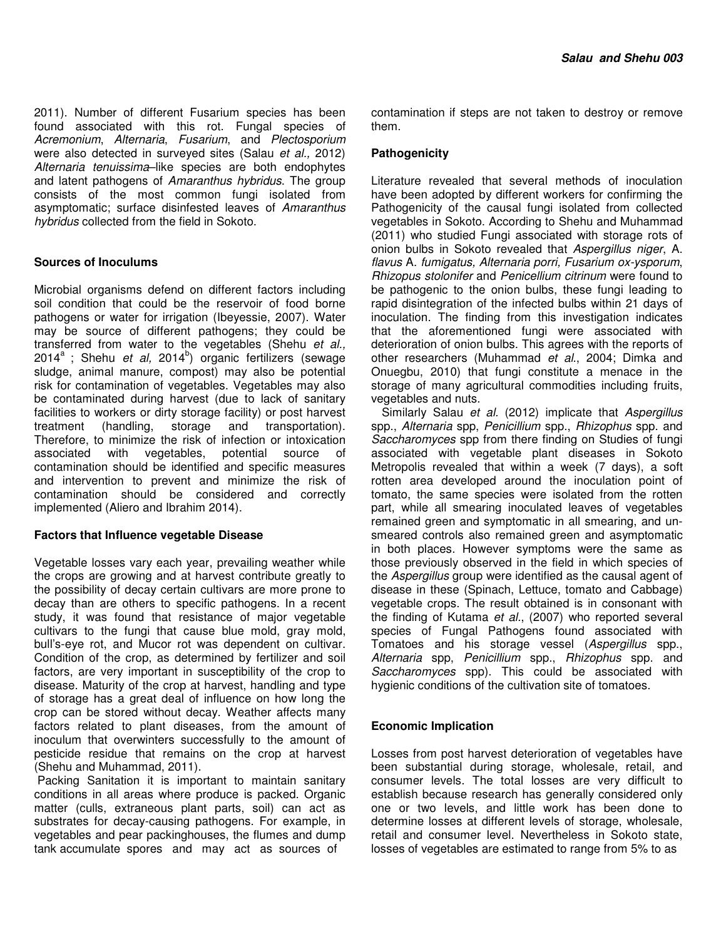2011). Number of different Fusarium species has been found associated with this rot. Fungal species of *Acremonium*, *Alternaria*, *Fusarium*, and *Plectosporium* were also detected in surveyed sites (Salau *et al.,* 2012) *Alternaria tenuissima*–like species are both endophytes and latent pathogens of *Amaranthus hybridus*. The group consists of the most common fungi isolated from asymptomatic; surface disinfested leaves of *Amaranthus hybridus* collected from the field in Sokoto.

## **Sources of Inoculums**

Microbial organisms defend on different factors including soil condition that could be the reservoir of food borne pathogens or water for irrigation (Ibeyessie, 2007). Water may be source of different pathogens; they could be transferred from water to the vegetables (Shehu *et al.,* 2014<sup>a</sup>; Shehu *et al,* 2014<sup>b</sup>) organic fertilizers (sewage sludge, animal manure, compost) may also be potential risk for contamination of vegetables. Vegetables may also be contaminated during harvest (due to lack of sanitary facilities to workers or dirty storage facility) or post harvest treatment (handling, storage and transportation). Therefore, to minimize the risk of infection or intoxication associated with vegetables, potential source of contamination should be identified and specific measures and intervention to prevent and minimize the risk of contamination should be considered and correctly implemented (Aliero and Ibrahim 2014).

#### **Factors that Influence vegetable Disease**

Vegetable losses vary each year, prevailing weather while the crops are growing and at harvest contribute greatly to the possibility of decay certain cultivars are more prone to decay than are others to specific pathogens. In a recent study, it was found that resistance of major vegetable cultivars to the fungi that cause blue mold, gray mold, bull's-eye rot, and Mucor rot was dependent on cultivar. Condition of the crop, as determined by fertilizer and soil factors, are very important in susceptibility of the crop to disease. Maturity of the crop at harvest, handling and type of storage has a great deal of influence on how long the crop can be stored without decay. Weather affects many factors related to plant diseases, from the amount of inoculum that overwinters successfully to the amount of pesticide residue that remains on the crop at harvest (Shehu and Muhammad, 2011).

 Packing Sanitation it is important to maintain sanitary conditions in all areas where produce is packed. Organic matter (culls, extraneous plant parts, soil) can act as substrates for decay-causing pathogens. For example, in vegetables and pear packinghouses, the flumes and dump tank accumulate spores and may act as sources of

contamination if steps are not taken to destroy or remove them.

### **Pathogenicity**

Literature revealed that several methods of inoculation have been adopted by different workers for confirming the Pathogenicity of the causal fungi isolated from collected vegetables in Sokoto. According to Shehu and Muhammad (2011) who studied Fungi associated with storage rots of onion bulbs in Sokoto revealed that *Aspergillus niger*, A. *flavus* A. *fumigatus, Alternaria porri, Fusarium ox-ysporum*, *Rhizopus stolonifer* and *Penicellium citrinum* were found to be pathogenic to the onion bulbs, these fungi leading to rapid disintegration of the infected bulbs within 21 days of inoculation. The finding from this investigation indicates that the aforementioned fungi were associated with deterioration of onion bulbs. This agrees with the reports of other researchers (Muhammad *et al*., 2004; Dimka and Onuegbu, 2010) that fungi constitute a menace in the storage of many agricultural commodities including fruits, vegetables and nuts.

Similarly Salau *et al.* (2012) implicate that *Aspergillus*  spp., *Alternaria* spp, *Penicillium* spp., *Rhizophus* spp. and *Saccharomyces* spp from there finding on Studies of fungi associated with vegetable plant diseases in Sokoto Metropolis revealed that within a week (7 days), a soft rotten area developed around the inoculation point of tomato, the same species were isolated from the rotten part, while all smearing inoculated leaves of vegetables remained green and symptomatic in all smearing, and unsmeared controls also remained green and asymptomatic in both places. However symptoms were the same as those previously observed in the field in which species of the *Aspergillus* group were identified as the causal agent of disease in these (Spinach, Lettuce, tomato and Cabbage) vegetable crops. The result obtained is in consonant with the finding of Kutama *et al.*, (2007) who reported several species of Fungal Pathogens found associated with Tomatoes and his storage vessel (*Aspergillus* spp., *Alternaria* spp, *Penicillium* spp., *Rhizophus* spp. and *Saccharomyces* spp). This could be associated with hygienic conditions of the cultivation site of tomatoes.

#### **Economic Implication**

Losses from post harvest deterioration of vegetables have been substantial during storage, wholesale, retail, and consumer levels. The total losses are very difficult to establish because research has generally considered only one or two levels, and little work has been done to determine losses at different levels of storage, wholesale, retail and consumer level. Nevertheless in Sokoto state, losses of vegetables are estimated to range from 5% to as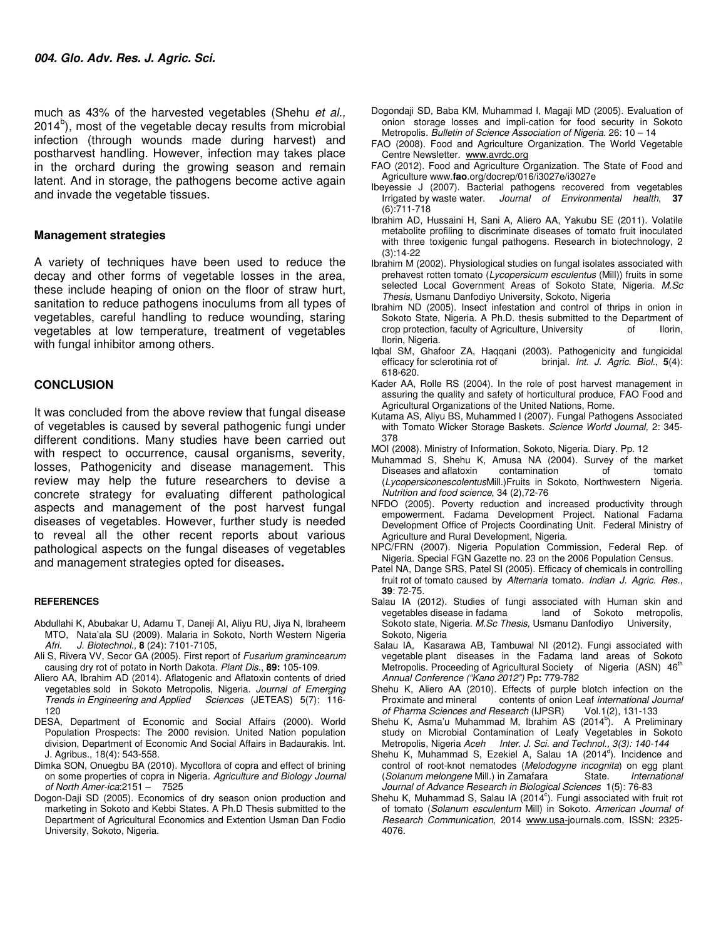much as 43% of the harvested vegetables (Shehu *et al.,*  $2014<sup>b</sup>$ ), most of the vegetable decay results from microbial infection (through wounds made during harvest) and postharvest handling. However, infection may takes place in the orchard during the growing season and remain latent. And in storage, the pathogens become active again and invade the vegetable tissues.

#### **Management strategies**

A variety of techniques have been used to reduce the decay and other forms of vegetable losses in the area, these include heaping of onion on the floor of straw hurt, sanitation to reduce pathogens inoculums from all types of vegetables, careful handling to reduce wounding, staring vegetables at low temperature, treatment of vegetables with fungal inhibitor among others.

#### **CONCLUSION**

It was concluded from the above review that fungal disease of vegetables is caused by several pathogenic fungi under different conditions. Many studies have been carried out with respect to occurrence, causal organisms, severity, losses, Pathogenicity and disease management. This review may help the future researchers to devise a concrete strategy for evaluating different pathological aspects and management of the post harvest fungal diseases of vegetables. However, further study is needed to reveal all the other recent reports about various pathological aspects on the fungal diseases of vegetables and management strategies opted for diseases**.**

#### **REFERENCES**

- Abdullahi K, Abubakar U, Adamu T, Daneji AI, Aliyu RU, Jiya N, Ibraheem MTO, Nata'ala SU (2009). Malaria in Sokoto, North Western Nigeria *Afri. J. Biotechnol.,* **8** (24): 7101-7105,
- Ali S, Rivera VV, Secor GA (2005). First report of *Fusarium gramincearum*  causing dry rot of potato in North Dakota. *Plant Dis.*, **89:** 105-109.
- Aliero AA, Ibrahim AD (2014). Aflatogenic and Aflatoxin contents of dried vegetables sold in Sokoto Metropolis, Nigeria. *Journal of Emerging Trends in Engineering and Applied Sciences* (JETEAS) 5(7): 116- 120
- DESA, Department of Economic and Social Affairs (2000). World Population Prospects: The 2000 revision. United Nation population division, Department of Economic And Social Affairs in Badaurakis. Int. J. Agribus., 18(4): 543-558.
- Dimka SON, Onuegbu BA (2010). Mycoflora of copra and effect of brining on some properties of copra in Nigeria. *Agriculture and Biology Journal of North Amer-ica*:2151 – 7525
- Dogon-Daji SD (2005). Economics of dry season onion production and marketing in Sokoto and Kebbi States. A Ph.D Thesis submitted to the Department of Agricultural Economics and Extention Usman Dan Fodio University, Sokoto, Nigeria.
- Dogondaji SD, Baba KM, Muhammad I, Magaji MD (2005). Evaluation of onion storage losses and impli-cation for food security in Sokoto Metropolis. *Bulletin of Science Association of Nigeria.* 26: 10 – 14
- FAO (2008). Food and Agriculture Organization. The World Vegetable Centre Newsletter. www.avrdc.org
- FAO (2012). Food and Agriculture Organization. The State of Food and Agriculture www.**fao**.org/docrep/016/i3027e/i3027e
- Ibeyessie J (2007). Bacterial pathogens recovered from vegetables Irrigated by waste water. *Journal of Environmental health*, **37** (6):711-718
- Ibrahim AD, Hussaini H, Sani A, Aliero AA, Yakubu SE (2011). Volatile metabolite profiling to discriminate diseases of tomato fruit inoculated with three toxigenic fungal pathogens. Research in biotechnology, 2 (3):14-22
- Ibrahim M (2002). Physiological studies on fungal isolates associated with prehavest rotten tomato (*Lycopersicum esculentus* (Mill)) fruits in some selected Local Government Areas of Sokoto State, Nigeria. *M.Sc Thesis,* Usmanu Danfodiyo University, Sokoto, Nigeria
- Ibrahim ND (2005). Insect infestation and control of thrips in onion in Sokoto State, Nigeria. A Ph.D. thesis submitted to the Department of crop protection. faculty of Agriculture. University of lorin. crop protection, faculty of Agriculture, University of Ilorin, Nigeria.
- Iqbal SM, Ghafoor ZA, Haqqani (2003). Pathogenicity and fungicidal efficacy for sclerotinia rot of brinjal. *Int. J. Agric. Biol.*, **5**(4): 618-620.
- Kader AA, Rolle RS (2004). In the role of post harvest management in assuring the quality and safety of horticultural produce, FAO Food and Agricultural Organizations of the United Nations, Rome.
- Kutama AS, Aliyu BS, Muhammed I (2007). Fungal Pathogens Associated with Tomato Wicker Storage Baskets. *Science World Journal,* 2: 345- 378
- MOI (2008). Ministry of Information, Sokoto, Nigeria. Diary. Pp. 12
- Muhammad S, Shehu K, Amusa NA (2004). Survey of the market Diseases and aflatoxin contamination of tomato (*Lycopersiconescolentus*Mill.)Fruits in Sokoto, Northwestern Nigeria. *Nutrition and food science*, 34 (2),72-76
- NFDO (2005). Poverty reduction and increased productivity through empowerment. Fadama Development Project. National Fadama Development Office of Projects Coordinating Unit. Federal Ministry of Agriculture and Rural Development, Nigeria.
- NPC/FRN (2007). Nigeria Population Commission, Federal Rep. of Nigeria. Special FGN Gazette no. 23 on the 2006 Population Census.
- Patel NA, Dange SRS, Patel SI (2005). Efficacy of chemicals in controlling fruit rot of tomato caused by *Alternaria* tomato*. Indian J. Agric. Res.*, **39**: 72-75.
- Salau IA (2012). Studies of fungi associated with Human skin and vegetables disease in fadama land of Sokoto metropolis, land of Sokoto metropolis, Sokoto state, Nigeria. *M.Sc Thesis,* Usmanu Danfodiyo University, Sokoto, Nigeria
- Salau IA, Kasarawa AB, Tambuwal NI (2012). Fungi associated with vegetable plant diseases in the Fadama land areas of Sokoto Metropolis. Proceeding of Agricultural Society of Nigeria (ASN) 46<sup>th</sup> *Annual Conference ("Kano 2012")* Pp**:** 779-782
- Shehu K, Aliero AA (2010). Effects of purple blotch infection on the Proximate and mineral contents of onion Leaf *international Journal*<br>*of Pharma Sciences and Research* (IJPSR) Vol.1(2), 131-133 of Pharma Sciences and Research (IJPSR)
- Shehu K, Asma'u Muhammad M, Ibrahim AS (2014<sup>b</sup>). A Preliminary study on Microbial Contamination of Leafy Vegetables in Sokoto Metropolis, Nigeria *Aceh Inter. J. Sci. and Technol., 3(3): 140-144*
- Shehu K, Muhammad S, Ezekiel A, Salau 1A (2014<sup>d</sup>). Incidence and control of root-knot nematodes (*Melodogyne incognita*) on egg plant (*Solanum melongene Mill.*) in Zamafara *Journal of Advance Research in Biological Sciences* 1(5): 76-83
- Shehu K, Muhammad S, Salau IA (2014 $\textdegree$ ). Fungi associated with fruit rot of tomato (*Solanum esculentum* Mill) in Sokoto. *American Journal of Research Communication*, 2014 www.usa-journals.com, ISSN: 2325- 4076.